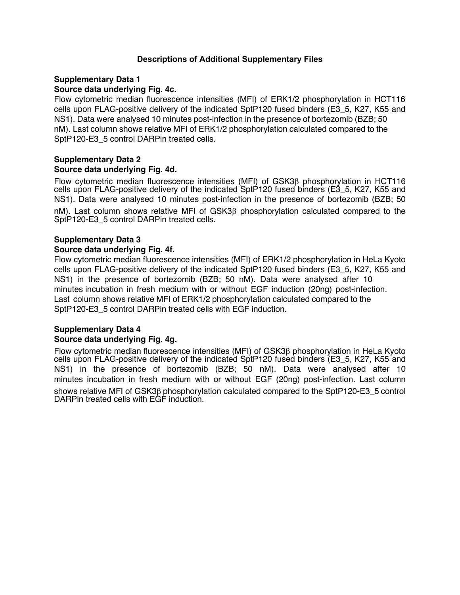#### **Descriptions of Additional Supplementary Files**

#### **Supplementary Data 1**

#### **Source data underlying Fig. 4c.**

Flow cytometric median fluorescence intensities (MFI) of ERK1/2 phosphorylation in HCT116 cells upon FLAG-positive delivery of the indicated SptP120 fused binders (E3\_5, K27, K55 and NS1). Data were analysed 10 minutes post-infection in the presence of bortezomib (BZB; 50 nM). Last column shows relative MFI of ERK1/2 phosphorylation calculated compared to the SptP120-E3\_5 control DARPin treated cells.

#### **Supplementary Data 2 Source data underlying Fig. 4d.**

Flow cytometric median fluorescence intensities (MFI) of  $GSK3\beta$  phosphorylation in HCT116 cells upon FLAG-positive delivery of the indicated SptP120 fused binders (E3\_5, K27, K55 and NS1). Data were analysed 10 minutes post-infection in the presence of bortezomib (BZB; 50 nM). Last column shows relative MFI of GSK3 $\beta$  phosphorylation calculated compared to the SptP120-E3\_5 control DARPin treated cells.

### **Supplementary Data 3**

#### **Source data underlying Fig. 4f.**

Flow cytometric median fluorescence intensities (MFI) of ERK1/2 phosphorylation in HeLa Kyoto cells upon FLAG-positive delivery of the indicated SptP120 fused binders (E3\_5, K27, K55 and NS1) in the presence of bortezomib (BZB; 50 nM). Data were analysed after 10 minutes incubation in fresh medium with or without EGF induction (20ng) post-infection. Last column shows relative MFI of ERK1/2 phosphorylation calculated compared to the SptP120-E3\_5 control DARPin treated cells with EGF induction.

#### **Supplementary Data 4 Source data underlying Fig. 4g.**

Flow cytometric median fluorescence intensities (MFI) of GSK3b phosphorylation in HeLa Kyoto cells upon FLAG-positive delivery of the indicated SptP120 fused binders (E3\_5, K27, K55 and NS1) in the presence of bortezomib (BZB; 50 nM). Data were analysed after 10 minutes incubation in fresh medium with or without EGF (20ng) post-infection. Last column shows relative MFI of  $GSK3\beta$  phosphorylation calculated compared to the SptP120-E3\_5 control DARPin treated cells with EGF induction.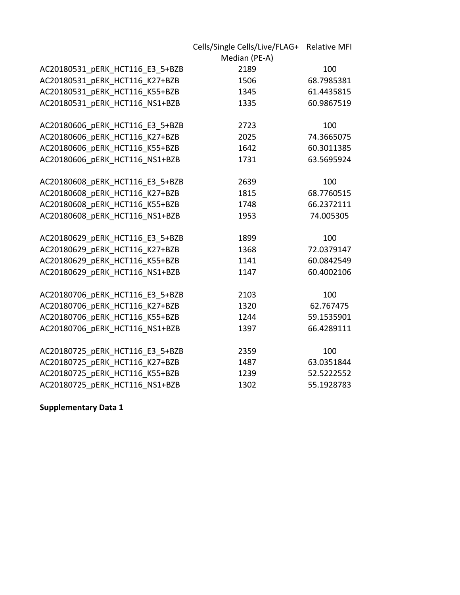|                                 | Cells/Single Cells/Live/FLAG+ Relative MFI |            |
|---------------------------------|--------------------------------------------|------------|
|                                 | Median (PE-A)                              |            |
| AC20180531 pERK HCT116 E3 5+BZB | 2189                                       | 100        |
| AC20180531 pERK HCT116 K27+BZB  | 1506                                       | 68.7985381 |
| AC20180531 pERK HCT116 K55+BZB  | 1345                                       | 61.4435815 |
| AC20180531 pERK HCT116 NS1+BZB  | 1335                                       | 60.9867519 |
|                                 |                                            |            |
| AC20180606 pERK HCT116 E3 5+BZB | 2723                                       | 100        |
| AC20180606 pERK HCT116 K27+BZB  | 2025                                       | 74.3665075 |
| AC20180606 pERK HCT116 K55+BZB  | 1642                                       | 60.3011385 |
| AC20180606 pERK HCT116 NS1+BZB  | 1731                                       | 63.5695924 |
|                                 |                                            |            |
| AC20180608_pERK_HCT116_E3_5+BZB | 2639                                       | 100        |
| AC20180608_pERK_HCT116_K27+BZB  | 1815                                       | 68.7760515 |
| AC20180608 pERK HCT116 K55+BZB  | 1748                                       | 66.2372111 |
| AC20180608 pERK HCT116 NS1+BZB  | 1953                                       | 74.005305  |
|                                 |                                            |            |
| AC20180629 pERK HCT116 E3 5+BZB | 1899                                       | 100        |
| AC20180629_pERK_HCT116_K27+BZB  | 1368                                       | 72.0379147 |
| AC20180629_pERK_HCT116_K55+BZB  | 1141                                       | 60.0842549 |
| AC20180629 pERK HCT116 NS1+BZB  | 1147                                       | 60.4002106 |
|                                 |                                            |            |
| AC20180706 pERK HCT116 E3 5+BZB | 2103                                       | 100        |
| AC20180706 pERK HCT116 K27+BZB  | 1320                                       | 62.767475  |
| AC20180706 pERK HCT116 K55+BZB  | 1244                                       | 59.1535901 |
| AC20180706 pERK HCT116 NS1+BZB  | 1397                                       | 66.4289111 |
|                                 |                                            |            |
| AC20180725 pERK HCT116 E3 5+BZB | 2359                                       | 100        |
| AC20180725 pERK HCT116 K27+BZB  | 1487                                       | 63.0351844 |
| AC20180725 pERK HCT116 K55+BZB  | 1239                                       | 52.5222552 |
| AC20180725 pERK HCT116 NS1+BZB  | 1302                                       | 55.1928783 |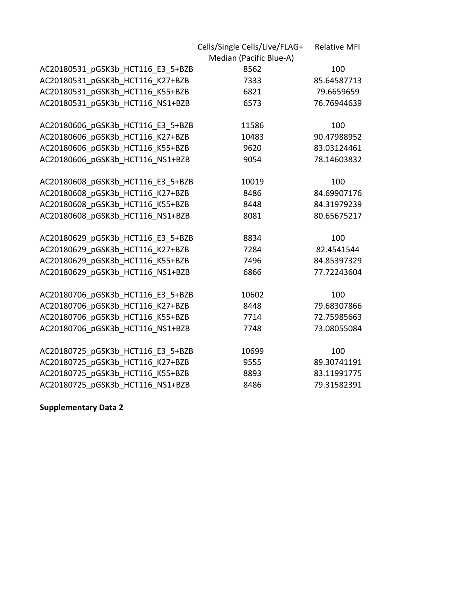|                                   | Cells/Single Cells/Live/FLAG+ | <b>Relative MFI</b> |
|-----------------------------------|-------------------------------|---------------------|
|                                   | Median (Pacific Blue-A)       |                     |
| AC20180531 pGSK3b HCT116 E3 5+BZB | 8562                          | 100                 |
| AC20180531 pGSK3b HCT116 K27+BZB  | 7333                          | 85.64587713         |
| AC20180531 pGSK3b HCT116 K55+BZB  | 6821                          | 79.6659659          |
| AC20180531 pGSK3b HCT116 NS1+BZB  | 6573                          | 76.76944639         |
|                                   |                               |                     |
| AC20180606 pGSK3b HCT116 E3 5+BZB | 11586                         | 100                 |
| AC20180606 pGSK3b HCT116 K27+BZB  | 10483                         | 90.47988952         |
| AC20180606 pGSK3b HCT116 K55+BZB  | 9620                          | 83.03124461         |
| AC20180606 pGSK3b HCT116 NS1+BZB  | 9054                          | 78.14603832         |
|                                   |                               |                     |
| AC20180608 pGSK3b HCT116 E3 5+BZB | 10019                         | 100                 |
| AC20180608 pGSK3b HCT116 K27+BZB  | 8486                          | 84.69907176         |
| AC20180608 pGSK3b HCT116 K55+BZB  | 8448                          | 84.31979239         |
| AC20180608 pGSK3b HCT116 NS1+BZB  | 8081                          | 80.65675217         |
| AC20180629 pGSK3b HCT116 E3 5+BZB | 8834                          | 100                 |
| AC20180629 pGSK3b HCT116 K27+BZB  | 7284                          | 82.4541544          |
| AC20180629_pGSK3b_HCT116_K55+BZB  | 7496                          | 84.85397329         |
| AC20180629 pGSK3b HCT116 NS1+BZB  | 6866                          | 77.72243604         |
|                                   |                               |                     |
| AC20180706 pGSK3b HCT116 E3 5+BZB | 10602                         | 100                 |
| AC20180706 pGSK3b HCT116 K27+BZB  | 8448                          | 79.68307866         |
| AC20180706_pGSK3b_HCT116_K55+BZB  | 7714                          | 72.75985663         |
| AC20180706 pGSK3b HCT116 NS1+BZB  | 7748                          | 73.08055084         |
|                                   |                               |                     |
| AC20180725_pGSK3b_HCT116_E3_5+BZB | 10699                         | 100                 |
| AC20180725 pGSK3b HCT116 K27+BZB  | 9555                          | 89.30741191         |
| AC20180725 pGSK3b HCT116 K55+BZB  | 8893                          | 83.11991775         |
| AC20180725 pGSK3b HCT116 NS1+BZB  | 8486                          | 79.31582391         |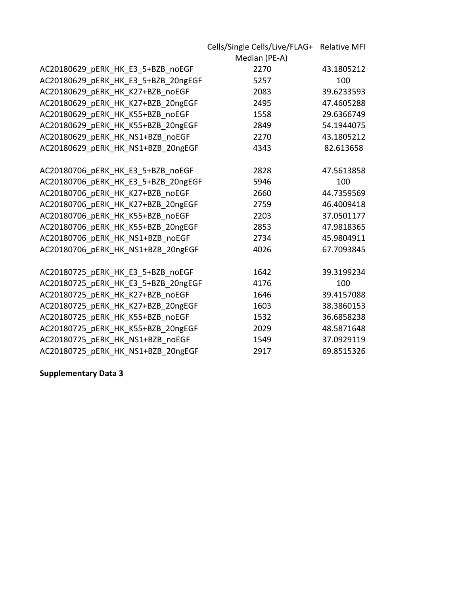|                                     | Cells/Single Cells/Live/FLAG+ Relative MFI |            |
|-------------------------------------|--------------------------------------------|------------|
|                                     | Median (PE-A)                              |            |
| AC20180629_pERK_HK_E3_5+BZB_noEGF   | 2270                                       | 43.1805212 |
| AC20180629 pERK HK E3 5+BZB 20ngEGF | 5257                                       | 100        |
| AC20180629 pERK HK K27+BZB noEGF    | 2083                                       | 39.6233593 |
| AC20180629 pERK HK K27+BZB 20ngEGF  | 2495                                       | 47.4605288 |
| AC20180629_pERK_HK_K55+BZB_noEGF    | 1558                                       | 29.6366749 |
| AC20180629_pERK_HK_K55+BZB_20ngEGF  | 2849                                       | 54.1944075 |
| AC20180629_pERK_HK_NS1+BZB_noEGF    | 2270                                       | 43.1805212 |
| AC20180629_pERK_HK_NS1+BZB_20ngEGF  | 4343                                       | 82.613658  |
|                                     |                                            |            |
| AC20180706 pERK HK E3 5+BZB noEGF   | 2828                                       | 47.5613858 |
| AC20180706_pERK_HK_E3_5+BZB_20ngEGF | 5946                                       | 100        |
| AC20180706_pERK_HK_K27+BZB_noEGF    | 2660                                       | 44.7359569 |
| AC20180706_pERK_HK_K27+BZB_20ngEGF  | 2759                                       | 46.4009418 |
| AC20180706 pERK HK K55+BZB noEGF    | 2203                                       | 37.0501177 |
| AC20180706 pERK HK K55+BZB 20ngEGF  | 2853                                       | 47.9818365 |
| AC20180706 pERK HK NS1+BZB noEGF    | 2734                                       | 45.9804911 |
| AC20180706 pERK HK NS1+BZB 20ngEGF  | 4026                                       | 67.7093845 |
|                                     |                                            |            |
| AC20180725_pERK_HK_E3_5+BZB_noEGF   | 1642                                       | 39.3199234 |
| AC20180725_pERK_HK_E3_5+BZB_20ngEGF | 4176                                       | 100        |
| AC20180725_pERK_HK_K27+BZB_noEGF    | 1646                                       | 39.4157088 |
| AC20180725_pERK_HK_K27+BZB_20ngEGF  | 1603                                       | 38.3860153 |
| AC20180725_pERK_HK_K55+BZB_noEGF    | 1532                                       | 36.6858238 |
| AC20180725 pERK HK K55+BZB 20ngEGF  | 2029                                       | 48.5871648 |
| AC20180725 pERK HK NS1+BZB noEGF    | 1549                                       | 37.0929119 |
| AC20180725 pERK HK NS1+BZB 20ngEGF  | 2917                                       | 69.8515326 |